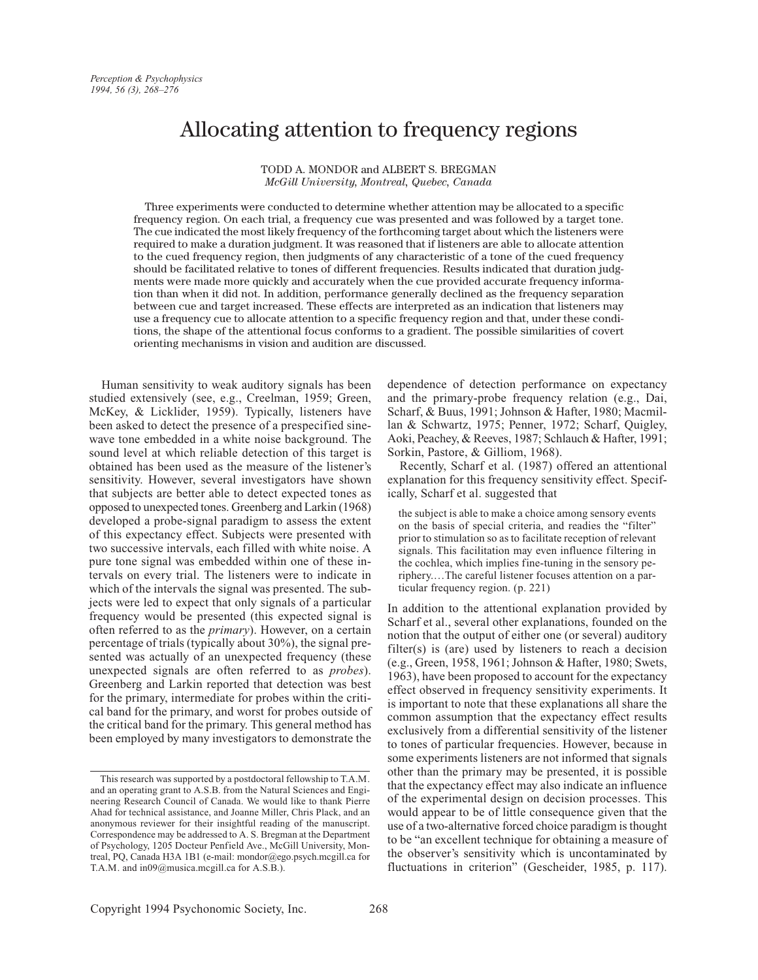# Allocating attention to frequency regions

# TODD A. MONDOR and ALBERT S. BREGMAN *McGill University, Montreal, Quebec, Canada*

Three experiments were conducted to determine whether attention may be allocated to a specific frequency region. On each trial, a frequency cue was presented and was followed by a target tone. The cue indicated the most likely frequency of the forthcoming target about which the listeners were required to make a duration judgment. It was reasoned that if listeners are able to allocate attention to the cued frequency region, then judgments of any characteristic of a tone of the cued frequency should be facilitated relative to tones of different frequencies. Results indicated that duration judgments were made more quickly and accurately when the cue provided accurate frequency information than when it did not. In addition, performance generally declined as the frequency separation between cue and target increased. These effects are interpreted as an indication that listeners may use a frequency cue to allocate attention to a specific frequency region and that, under these conditions, the shape of the attentional focus conforms to a gradient. The possible similarities of covert orienting mechanisms in vision and audition are discussed.

Human sensitivity to weak auditory signals has been studied extensively (see, e.g., Creelman, 1959; Green, McKey, & Licklider, 1959). Typically, listeners have been asked to detect the presence of a prespecified sinewave tone embedded in a white noise background. The sound level at which reliable detection of this target is obtained has been used as the measure of the listener's sensitivity. However, several investigators have shown that subjects are better able to detect expected tones as opposed to unexpected tones. Greenberg and Larkin (1968) developed a probe-signal paradigm to assess the extent of this expectancy effect. Subjects were presented with two successive intervals, each filled with white noise. A pure tone signal was embedded within one of these intervals on every trial. The listeners were to indicate in which of the intervals the signal was presented. The subjects were led to expect that only signals of a particular frequency would be presented (this expected signal is often referred to as the *primary*). However, on a certain percentage of trials (typically about 30%), the signal presented was actually of an unexpected frequency (these unexpected signals are often referred to as *probes*). Greenberg and Larkin reported that detection was best for the primary, intermediate for probes within the critical band for the primary, and worst for probes outside of the critical band for the primary. This general method has been employed by many investigators to demonstrate the

dependence of detection performance on expectancy and the primary-probe frequency relation (e.g., Dai, Scharf, & Buus, 1991; Johnson & Hafter, 1980; Macmillan & Schwartz, 1975; Penner, 1972; Scharf, Quigley, Aoki, Peachey, & Reeves, 1987; Schlauch & Hafter, 1991; Sorkin, Pastore, & Gilliom, 1968).

Recently, Scharf et al. (1987) offered an attentional explanation for this frequency sensitivity effect. Specifically, Scharf et al. suggested that

the subject is able to make a choice among sensory events on the basis of special criteria, and readies the "filter" prior to stimulation so as to facilitate reception of relevant signals. This facilitation may even influence filtering in the cochlea, which implies fine-tuning in the sensory periphery.…The careful listener focuses attention on a particular frequency region. (p. 221)

In addition to the attentional explanation provided by Scharf et al., several other explanations, founded on the notion that the output of either one (or several) auditory  $filter(s)$  is (are) used by listeners to reach a decision (e.g., Green, 1958, 1961; Johnson & Hafter, 1980; Swets, 1963), have been proposed to account for the expectancy effect observed in frequency sensitivity experiments. It is important to note that these explanations all share the common assumption that the expectancy effect results exclusively from a differential sensitivity of the listener to tones of particular frequencies. However, because in some experiments listeners are not informed that signals other than the primary may be presented, it is possible that the expectancy effect may also indicate an influence of the experimental design on decision processes. This would appear to be of little consequence given that the use of a two-alternative forced choice paradigm is thought to be "an excellent technique for obtaining a measure of the observer's sensitivity which is uncontaminated by fluctuations in criterion" (Gescheider, 1985, p. 117).

This research was supported by a postdoctoral fellowship to T.A.M. and an operating grant to A.S.B. from the Natural Sciences and Engineering Research Council of Canada. We would like to thank Pierre Ahad for technical assistance, and Joanne Miller, Chris Plack, and an anonymous reviewer for their insightful reading of the manuscript. Correspondence may be addressed to A. S. Bregman at the Department of Psychology, 1205 Docteur Penfield Ave., McGill University, Montreal, PQ, Canada H3A 1B1 (e-mail: mondor@ego.psych.mcgill.ca for T.A.M. and in09@musica.mcgill.ca for A.S.B.).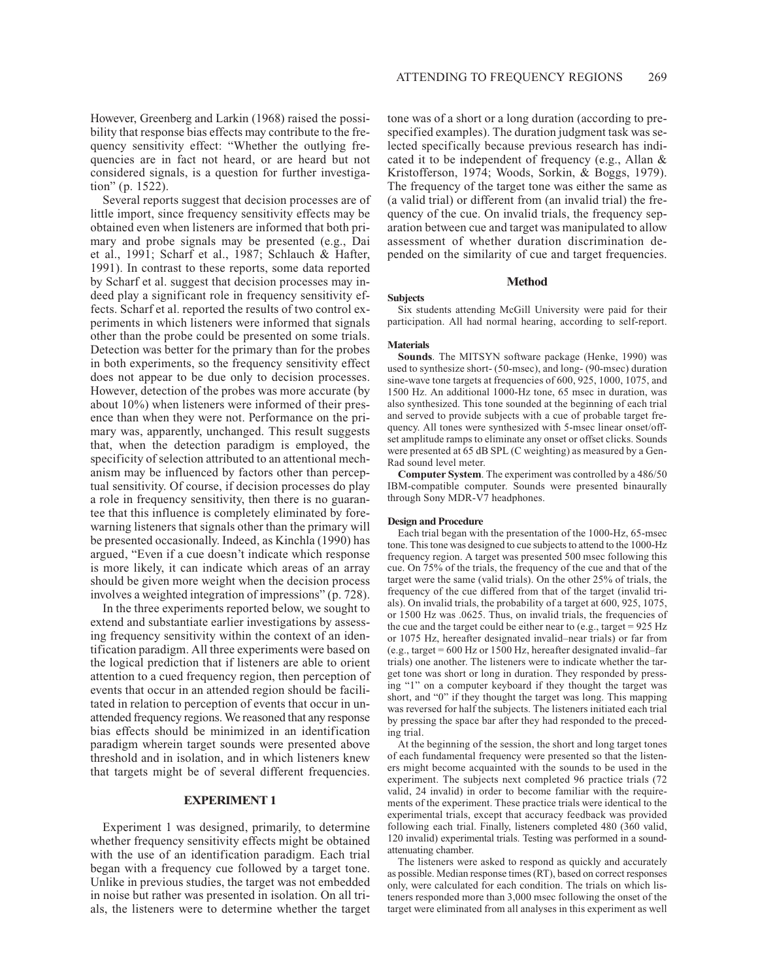However, Greenberg and Larkin (1968) raised the possibility that response bias effects may contribute to the frequency sensitivity effect: "Whether the outlying frequencies are in fact not heard, or are heard but not considered signals, is a question for further investigation" (p. 1522).

Several reports suggest that decision processes are of little import, since frequency sensitivity effects may be obtained even when listeners are informed that both primary and probe signals may be presented (e.g., Dai et al., 1991; Scharf et al., 1987; Schlauch & Hafter, 1991). In contrast to these reports, some data reported by Scharf et al. suggest that decision processes may indeed play a significant role in frequency sensitivity effects. Scharf et al. reported the results of two control experiments in which listeners were informed that signals other than the probe could be presented on some trials. Detection was better for the primary than for the probes in both experiments, so the frequency sensitivity effect does not appear to be due only to decision processes. However, detection of the probes was more accurate (by about 10%) when listeners were informed of their presence than when they were not. Performance on the primary was, apparently, unchanged. This result suggests that, when the detection paradigm is employed, the specificity of selection attributed to an attentional mechanism may be influenced by factors other than perceptual sensitivity. Of course, if decision processes do play a role in frequency sensitivity, then there is no guarantee that this influence is completely eliminated by forewarning listeners that signals other than the primary will be presented occasionally. Indeed, as Kinchla (1990) has argued, "Even if a cue doesn't indicate which response is more likely, it can indicate which areas of an array should be given more weight when the decision process involves a weighted integration of impressions" (p. 728).

In the three experiments reported below, we sought to extend and substantiate earlier investigations by assessing frequency sensitivity within the context of an identification paradigm. All three experiments were based on the logical prediction that if listeners are able to orient attention to a cued frequency region, then perception of events that occur in an attended region should be facilitated in relation to perception of events that occur in unattended frequency regions. We reasoned that any response bias effects should be minimized in an identification paradigm wherein target sounds were presented above threshold and in isolation, and in which listeners knew that targets might be of several different frequencies.

# **EXPERIMENT 1**

Experiment 1 was designed, primarily, to determine whether frequency sensitivity effects might be obtained with the use of an identification paradigm. Each trial began with a frequency cue followed by a target tone. Unlike in previous studies, the target was not embedded in noise but rather was presented in isolation. On all trials, the listeners were to determine whether the target tone was of a short or a long duration (according to prespecified examples). The duration judgment task was selected specifically because previous research has indicated it to be independent of frequency (e.g., Allan & Kristofferson, 1974; Woods, Sorkin, & Boggs, 1979). The frequency of the target tone was either the same as (a valid trial) or different from (an invalid trial) the frequency of the cue. On invalid trials, the frequency separation between cue and target was manipulated to allow assessment of whether duration discrimination depended on the similarity of cue and target frequencies.

## **Method**

#### **Subjects**

Six students attending McGill University were paid for their participation. All had normal hearing, according to self-report.

#### **Materials**

**Sounds**. The MITSYN software package (Henke, 1990) was used to synthesize short- (50-msec), and long- (90-msec) duration sine-wave tone targets at frequencies of 600, 925, 1000, 1075, and 1500 Hz. An additional 1000-Hz tone, 65 msec in duration, was also synthesized. This tone sounded at the beginning of each trial and served to provide subjects with a cue of probable target frequency. All tones were synthesized with 5-msec linear onset/offset amplitude ramps to eliminate any onset or offset clicks. Sounds were presented at 65 dB SPL (C weighting) as measured by a Gen-Rad sound level meter.

**Computer System**. The experiment was controlled by a 486/50 IBM-compatible computer. Sounds were presented binaurally through Sony MDR-V7 headphones.

# **Design and Procedure**

Each trial began with the presentation of the 1000-Hz, 65-msec tone. This tone was designed to cue subjects to attend to the 1000-Hz frequency region. A target was presented 500 msec following this cue. On 75% of the trials, the frequency of the cue and that of the target were the same (valid trials). On the other 25% of trials, the frequency of the cue differed from that of the target (invalid trials). On invalid trials, the probability of a target at 600, 925, 1075, or 1500 Hz was .0625. Thus, on invalid trials, the frequencies of the cue and the target could be either near to (e.g., target =  $925$  Hz or 1075 Hz, hereafter designated invalid–near trials) or far from (e.g., target = 600 Hz or 1500 Hz, hereafter designated invalid–far trials) one another. The listeners were to indicate whether the target tone was short or long in duration. They responded by pressing "1" on a computer keyboard if they thought the target was short, and "0" if they thought the target was long. This mapping was reversed for half the subjects. The listeners initiated each trial by pressing the space bar after they had responded to the preceding trial.

At the beginning of the session, the short and long target tones of each fundamental frequency were presented so that the listeners might become acquainted with the sounds to be used in the experiment. The subjects next completed 96 practice trials (72 valid, 24 invalid) in order to become familiar with the requirements of the experiment. These practice trials were identical to the experimental trials, except that accuracy feedback was provided following each trial. Finally, listeners completed 480 (360 valid, 120 invalid) experimental trials. Testing was performed in a soundattenuating chamber.

The listeners were asked to respond as quickly and accurately as possible. Median response times (RT), based on correct responses only, were calculated for each condition. The trials on which listeners responded more than 3,000 msec following the onset of the target were eliminated from all analyses in this experiment as well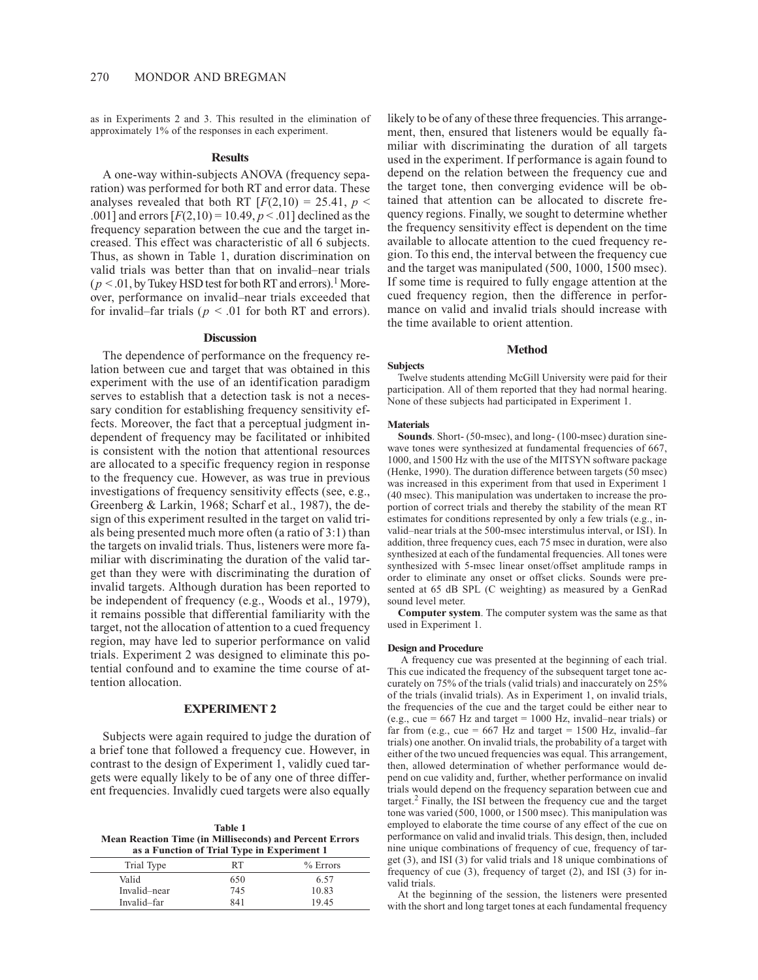as in Experiments 2 and 3. This resulted in the elimination of approximately 1% of the responses in each experiment.

## **Results**

A one-way within-subjects ANOVA (frequency separation) was performed for both RT and error data. These analyses revealed that both RT  $[F(2,10) = 25.41, p \leq 1]$ .001] and errors  $[F(2,10) = 10.49, p < .01]$  declined as the frequency separation between the cue and the target increased. This effect was characteristic of all 6 subjects. Thus, as shown in Table 1, duration discrimination on valid trials was better than that on invalid–near trials  $(p \le 0.01$ , by Tukey HSD test for both RT and errors).<sup>1</sup> Moreover, performance on invalid–near trials exceeded that for invalid–far trials ( $p < .01$  for both RT and errors).

## **Discussion**

The dependence of performance on the frequency relation between cue and target that was obtained in this experiment with the use of an identification paradigm serves to establish that a detection task is not a necessary condition for establishing frequency sensitivity effects. Moreover, the fact that a perceptual judgment independent of frequency may be facilitated or inhibited is consistent with the notion that attentional resources are allocated to a specific frequency region in response to the frequency cue. However, as was true in previous investigations of frequency sensitivity effects (see, e.g., Greenberg & Larkin, 1968; Scharf et al., 1987), the design of this experiment resulted in the target on valid trials being presented much more often (a ratio of 3:1) than the targets on invalid trials. Thus, listeners were more familiar with discriminating the duration of the valid target than they were with discriminating the duration of invalid targets. Although duration has been reported to be independent of frequency (e.g., Woods et al., 1979), it remains possible that differential familiarity with the target, not the allocation of attention to a cued frequency region, may have led to superior performance on valid trials. Experiment 2 was designed to eliminate this potential confound and to examine the time course of attention allocation.

# **EXPERIMENT 2**

Subjects were again required to judge the duration of a brief tone that followed a frequency cue. However, in contrast to the design of Experiment 1, validly cued targets were equally likely to be of any one of three different frequencies. Invalidly cued targets were also equally

**Table 1 Mean Reaction Time (in Milliseconds) and Percent Errors as a Function of Trial Type in Experiment 1**

| we we answer of film files in Experiment f |     |            |  |  |
|--------------------------------------------|-----|------------|--|--|
| Trial Type                                 | RT  | $%$ Errors |  |  |
| Valid                                      | 650 | 6.57       |  |  |
| Invalid-near                               | 745 | 10.83      |  |  |
| Invalid-far                                | 841 | 19.45      |  |  |

likely to be of any of these three frequencies. This arrangement, then, ensured that listeners would be equally familiar with discriminating the duration of all targets used in the experiment. If performance is again found to depend on the relation between the frequency cue and the target tone, then converging evidence will be obtained that attention can be allocated to discrete frequency regions. Finally, we sought to determine whether the frequency sensitivity effect is dependent on the time available to allocate attention to the cued frequency region. To this end, the interval between the frequency cue and the target was manipulated (500, 1000, 1500 msec). If some time is required to fully engage attention at the cued frequency region, then the difference in performance on valid and invalid trials should increase with the time available to orient attention.

# **Method**

#### **Subjects**

Twelve students attending McGill University were paid for their participation. All of them reported that they had normal hearing. None of these subjects had participated in Experiment 1.

## **Materials**

**Sounds**. Short- (50-msec), and long- (100-msec) duration sinewave tones were synthesized at fundamental frequencies of 667, 1000, and 1500 Hz with the use of the MITSYN software package (Henke, 1990). The duration difference between targets (50 msec) was increased in this experiment from that used in Experiment 1 (40 msec). This manipulation was undertaken to increase the proportion of correct trials and thereby the stability of the mean RT estimates for conditions represented by only a few trials (e.g., invalid–near trials at the 500-msec interstimulus interval, or ISI). In addition, three frequency cues, each 75 msec in duration, were also synthesized at each of the fundamental frequencies. All tones were synthesized with 5-msec linear onset/offset amplitude ramps in order to eliminate any onset or offset clicks. Sounds were presented at 65 dB SPL (C weighting) as measured by a GenRad sound level meter.

**Computer system**. The computer system was the same as that used in Experiment 1.

## **Design and Procedure**

A frequency cue was presented at the beginning of each trial. This cue indicated the frequency of the subsequent target tone accurately on 75% of the trials (valid trials) and inaccurately on 25% of the trials (invalid trials). As in Experiment 1, on invalid trials, the frequencies of the cue and the target could be either near to (e.g., cue =  $667$  Hz and target =  $1000$  Hz, invalid–near trials) or far from (e.g., cue =  $667$  Hz and target = 1500 Hz, invalid–far trials) one another. On invalid trials, the probability of a target with either of the two uncued frequencies was equal. This arrangement, then, allowed determination of whether performance would depend on cue validity and, further, whether performance on invalid trials would depend on the frequency separation between cue and target.<sup>2</sup> Finally, the ISI between the frequency cue and the target tone was varied (500, 1000, or 1500 msec). This manipulation was employed to elaborate the time course of any effect of the cue on performance on valid and invalid trials. This design, then, included nine unique combinations of frequency of cue, frequency of target (3), and ISI (3) for valid trials and 18 unique combinations of frequency of cue (3), frequency of target (2), and ISI (3) for invalid trials.

At the beginning of the session, the listeners were presented with the short and long target tones at each fundamental frequency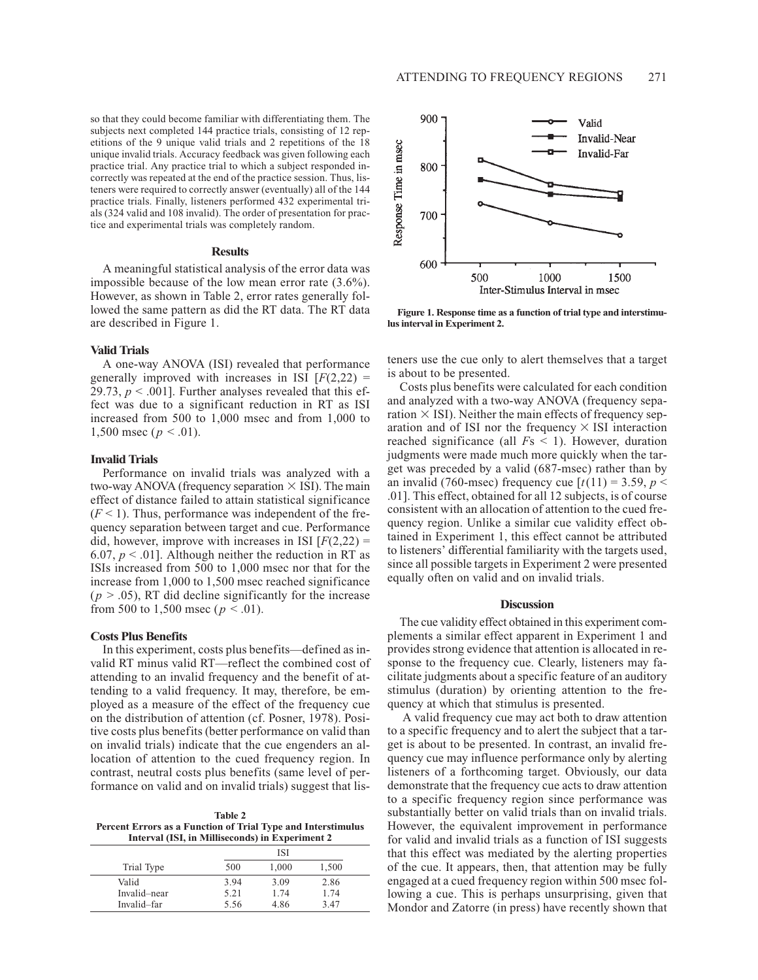so that they could become familiar with differentiating them. The subjects next completed 144 practice trials, consisting of 12 repetitions of the 9 unique valid trials and 2 repetitions of the 18 unique invalid trials. Accuracy feedback was given following each practice trial. Any practice trial to which a subject responded incorrectly was repeated at the end of the practice session. Thus, listeners were required to correctly answer (eventually) all of the 144 practice trials. Finally, listeners performed 432 experimental trials (324 valid and 108 invalid). The order of presentation for practice and experimental trials was completely random.

# **Results**

A meaningful statistical analysis of the error data was impossible because of the low mean error rate (3.6%). However, as shown in Table 2, error rates generally followed the same pattern as did the RT data. The RT data are described in Figure 1.

# **Valid Trials**

A one-way ANOVA (ISI) revealed that performance generally improved with increases in ISI  $[F(2,22) =$ 29.73,  $p < .001$ ]. Further analyses revealed that this effect was due to a significant reduction in RT as ISI increased from 500 to 1,000 msec and from 1,000 to 1,500 msec ( $p < .01$ ).

## **Invalid Trials**

Performance on invalid trials was analyzed with a two-way ANOVA (frequency separation  $\times$  ISI). The main effect of distance failed to attain statistical significance  $(F < 1)$ . Thus, performance was independent of the frequency separation between target and cue. Performance did, however, improve with increases in ISI  $[F(2,22) =$ 6.07,  $p < 0.01$ . Although neither the reduction in RT as ISIs increased from 500 to 1,000 msec nor that for the increase from 1,000 to 1,500 msec reached significance  $(p > .05)$ , RT did decline significantly for the increase from 500 to 1,500 msec ( $p < .01$ ).

## **Costs Plus Benefits**

In this experiment, costs plus benefits—defined as invalid RT minus valid RT—reflect the combined cost of attending to an invalid frequency and the benefit of attending to a valid frequency. It may, therefore, be employed as a measure of the effect of the frequency cue on the distribution of attention (cf. Posner, 1978). Positive costs plus benefits (better performance on valid than on invalid trials) indicate that the cue engenders an allocation of attention to the cued frequency region. In contrast, neutral costs plus benefits (same level of performance on valid and on invalid trials) suggest that lis-

**Table 2 Percent Errors as a Function of Trial Type and Interstimulus Interval (ISI, in Milliseconds) in Experiment 2**

|              | $\frac{1}{10000}$ and $\frac{1}{10000}$ in $\frac{1}{10000}$ . Thus $\frac{1}{10000}$ in East $\frac{1}{10000}$<br>ISI |       |       |
|--------------|------------------------------------------------------------------------------------------------------------------------|-------|-------|
| Trial Type   | 500                                                                                                                    | 1.000 | 1,500 |
| Valid        | 3.94                                                                                                                   | 3.09  | 2.86  |
| Invalid-near | 5.21                                                                                                                   | 1.74  | 1.74  |
| Invalid-far  | 5.56                                                                                                                   | 4.86  | 3.47  |



**Figure 1. Response time as a function of trial type and interstimulus interval in Experiment 2.**

teners use the cue only to alert themselves that a target is about to be presented.

Costs plus benefits were calculated for each condition and analyzed with a two-way ANOVA (frequency separation  $\times$  ISI). Neither the main effects of frequency separation and of ISI nor the frequency  $\times$  ISI interaction reached significance (all *F*s < 1). However, duration judgments were made much more quickly when the target was preceded by a valid (687-msec) rather than by an invalid (760-msec) frequency cue  $[t(11) = 3.59, p <$ .01]. This effect, obtained for all 12 subjects, is of course consistent with an allocation of attention to the cued frequency region. Unlike a similar cue validity effect obtained in Experiment 1, this effect cannot be attributed to listeners' differential familiarity with the targets used, since all possible targets in Experiment 2 were presented equally often on valid and on invalid trials.

# **Discussion**

The cue validity effect obtained in this experiment complements a similar effect apparent in Experiment 1 and provides strong evidence that attention is allocated in response to the frequency cue. Clearly, listeners may facilitate judgments about a specific feature of an auditory stimulus (duration) by orienting attention to the frequency at which that stimulus is presented.

A valid frequency cue may act both to draw attention to a specific frequency and to alert the subject that a target is about to be presented. In contrast, an invalid frequency cue may influence performance only by alerting listeners of a forthcoming target. Obviously, our data demonstrate that the frequency cue acts to draw attention to a specific frequency region since performance was substantially better on valid trials than on invalid trials. However, the equivalent improvement in performance for valid and invalid trials as a function of ISI suggests that this effect was mediated by the alerting properties of the cue. It appears, then, that attention may be fully engaged at a cued frequency region within 500 msec following a cue. This is perhaps unsurprising, given that Mondor and Zatorre (in press) have recently shown that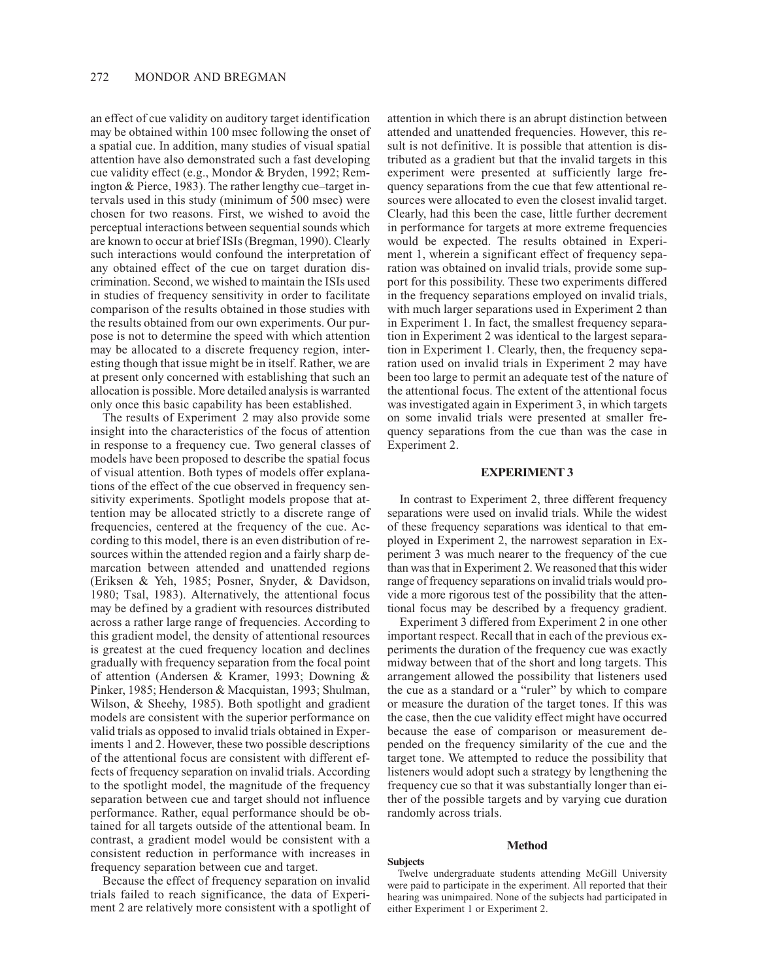# 272 MONDOR AND BREGMAN

an effect of cue validity on auditory target identification may be obtained within 100 msec following the onset of a spatial cue. In addition, many studies of visual spatial attention have also demonstrated such a fast developing cue validity effect (e.g., Mondor & Bryden, 1992; Remington & Pierce, 1983). The rather lengthy cue–target intervals used in this study (minimum of 500 msec) were chosen for two reasons. First, we wished to avoid the perceptual interactions between sequential sounds which are known to occur at brief ISIs (Bregman, 1990). Clearly such interactions would confound the interpretation of any obtained effect of the cue on target duration discrimination. Second, we wished to maintain the ISIs used in studies of frequency sensitivity in order to facilitate comparison of the results obtained in those studies with the results obtained from our own experiments. Our purpose is not to determine the speed with which attention may be allocated to a discrete frequency region, interesting though that issue might be in itself. Rather, we are at present only concerned with establishing that such an allocation is possible. More detailed analysis is warranted only once this basic capability has been established.

The results of Experiment 2 may also provide some insight into the characteristics of the focus of attention in response to a frequency cue. Two general classes of models have been proposed to describe the spatial focus of visual attention. Both types of models offer explanations of the effect of the cue observed in frequency sensitivity experiments. Spotlight models propose that attention may be allocated strictly to a discrete range of frequencies, centered at the frequency of the cue. According to this model, there is an even distribution of resources within the attended region and a fairly sharp demarcation between attended and unattended regions (Eriksen & Yeh, 1985; Posner, Snyder, & Davidson, 1980; Tsal, 1983). Alternatively, the attentional focus may be defined by a gradient with resources distributed across a rather large range of frequencies. According to this gradient model, the density of attentional resources is greatest at the cued frequency location and declines gradually with frequency separation from the focal point of attention (Andersen & Kramer, 1993; Downing & Pinker, 1985; Henderson & Macquistan, 1993; Shulman, Wilson, & Sheehy, 1985). Both spotlight and gradient models are consistent with the superior performance on valid trials as opposed to invalid trials obtained in Experiments 1 and 2. However, these two possible descriptions of the attentional focus are consistent with different effects of frequency separation on invalid trials. According to the spotlight model, the magnitude of the frequency separation between cue and target should not influence performance. Rather, equal performance should be obtained for all targets outside of the attentional beam. In contrast, a gradient model would be consistent with a consistent reduction in performance with increases in frequency separation between cue and target.

Because the effect of frequency separation on invalid trials failed to reach significance, the data of Experiment 2 are relatively more consistent with a spotlight of attention in which there is an abrupt distinction between attended and unattended frequencies. However, this result is not definitive. It is possible that attention is distributed as a gradient but that the invalid targets in this experiment were presented at sufficiently large frequency separations from the cue that few attentional resources were allocated to even the closest invalid target. Clearly, had this been the case, little further decrement in performance for targets at more extreme frequencies would be expected. The results obtained in Experiment 1, wherein a significant effect of frequency separation was obtained on invalid trials, provide some support for this possibility. These two experiments differed in the frequency separations employed on invalid trials, with much larger separations used in Experiment 2 than in Experiment 1. In fact, the smallest frequency separation in Experiment 2 was identical to the largest separation in Experiment 1. Clearly, then, the frequency separation used on invalid trials in Experiment 2 may have been too large to permit an adequate test of the nature of the attentional focus. The extent of the attentional focus was investigated again in Experiment 3, in which targets on some invalid trials were presented at smaller frequency separations from the cue than was the case in Experiment 2.

# **EXPERIMENT 3**

In contrast to Experiment 2, three different frequency separations were used on invalid trials. While the widest of these frequency separations was identical to that employed in Experiment 2, the narrowest separation in Experiment 3 was much nearer to the frequency of the cue than was that in Experiment 2. We reasoned that this wider range of frequency separations on invalid trials would provide a more rigorous test of the possibility that the attentional focus may be described by a frequency gradient.

Experiment 3 differed from Experiment 2 in one other important respect. Recall that in each of the previous experiments the duration of the frequency cue was exactly midway between that of the short and long targets. This arrangement allowed the possibility that listeners used the cue as a standard or a "ruler" by which to compare or measure the duration of the target tones. If this was the case, then the cue validity effect might have occurred because the ease of comparison or measurement depended on the frequency similarity of the cue and the target tone. We attempted to reduce the possibility that listeners would adopt such a strategy by lengthening the frequency cue so that it was substantially longer than either of the possible targets and by varying cue duration randomly across trials.

## **Method**

#### **Subjects**

Twelve undergraduate students attending McGill University were paid to participate in the experiment. All reported that their hearing was unimpaired. None of the subjects had participated in either Experiment 1 or Experiment 2.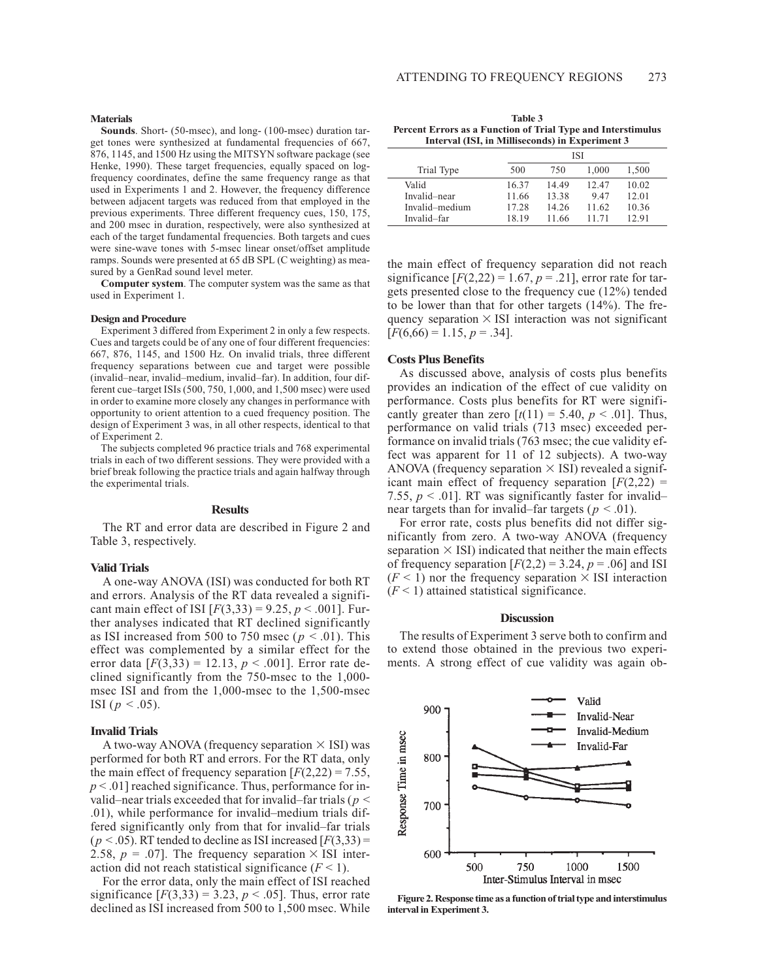#### **Materials**

**Sounds**. Short- (50-msec), and long- (100-msec) duration target tones were synthesized at fundamental frequencies of 667, 876, 1145, and 1500 Hz using the MITSYN software package (see Henke, 1990). These target frequencies, equally spaced on logfrequency coordinates, define the same frequency range as that used in Experiments 1 and 2. However, the frequency difference between adjacent targets was reduced from that employed in the previous experiments. Three different frequency cues, 150, 175, and 200 msec in duration, respectively, were also synthesized at each of the target fundamental frequencies. Both targets and cues were sine-wave tones with 5-msec linear onset/offset amplitude ramps. Sounds were presented at 65 dB SPL (C weighting) as measured by a GenRad sound level meter.

**Computer system**. The computer system was the same as that used in Experiment 1.

## **Design and Procedure**

Experiment 3 differed from Experiment 2 in only a few respects. Cues and targets could be of any one of four different frequencies: 667, 876, 1145, and 1500 Hz. On invalid trials, three different frequency separations between cue and target were possible (invalid–near, invalid–medium, invalid–far). In addition, four different cue–target ISIs (500, 750, 1,000, and 1,500 msec) were used in order to examine more closely any changes in performance with opportunity to orient attention to a cued frequency position. The design of Experiment 3 was, in all other respects, identical to that of Experiment 2.

The subjects completed 96 practice trials and 768 experimental trials in each of two different sessions. They were provided with a brief break following the practice trials and again halfway through the experimental trials.

## **Results**

The RT and error data are described in Figure 2 and Table 3, respectively.

## **Valid Trials**

A one-way ANOVA (ISI) was conducted for both RT and errors. Analysis of the RT data revealed a significant main effect of ISI  $[F(3,33) = 9.25, p < .001]$ . Further analyses indicated that RT declined significantly as ISI increased from 500 to 750 msec ( $p < .01$ ). This effect was complemented by a similar effect for the error data [*F*(3,33) = 12.13, *p* < .001]. Error rate declined significantly from the 750-msec to the 1,000 msec ISI and from the 1,000-msec to the 1,500-msec ISI ( $p < .05$ ).

#### **Invalid Trials**

A two-way ANOVA (frequency separation  $\times$  ISI) was performed for both RT and errors. For the RT data, only the main effect of frequency separation  $[F(2,22) = 7.55]$ , *p* < .01] reached significance. Thus, performance for invalid–near trials exceeded that for invalid–far trials (*p* < .01), while performance for invalid–medium trials differed significantly only from that for invalid–far trials  $(p < .05)$ . RT tended to decline as ISI increased  $[F(3,33) =$ 2.58,  $p = .07$ ]. The frequency separation  $\times$  ISI interaction did not reach statistical significance  $(F < 1)$ .

For the error data, only the main effect of ISI reached significance  $[F(3,33) = 3.23, p < .05]$ . Thus, error rate declined as ISI increased from 500 to 1,500 msec. While

**Table 3 Percent Errors as a Function of Trial Type and Interstimulus Interval (ISI, in Milliseconds) in Experiment 3**

|                | ISI   |       |       |       |
|----------------|-------|-------|-------|-------|
| Trial Type     | 500   | 750   | 1.000 | 1.500 |
| Valid          | 16.37 | 14 49 | 12.47 | 10.02 |
| Invalid-near   | 11.66 | 13.38 | 947   | 12.01 |
| Invalid-medium | 17.28 | 14.26 | 11.62 | 10.36 |
| Invalid-far    | 18.19 | 11.66 | 11 71 | 12.91 |

the main effect of frequency separation did not reach significance  $[F(2,22) = 1.67, p = .21]$ , error rate for targets presented close to the frequency cue (12%) tended to be lower than that for other targets (14%). The frequency separation  $\times$  ISI interaction was not significant  $[F(6,66) = 1.15, p = .34].$ 

## **Costs Plus Benefits**

As discussed above, analysis of costs plus benefits provides an indication of the effect of cue validity on performance. Costs plus benefits for RT were significantly greater than zero  $[t(11) = 5.40, p < .01]$ . Thus, performance on valid trials (713 msec) exceeded performance on invalid trials (763 msec; the cue validity effect was apparent for 11 of 12 subjects). A two-way ANOVA (frequency separation  $\times$  ISI) revealed a significant main effect of frequency separation  $[F(2,22) =$ 7.55,  $p < 0.01$ ]. RT was significantly faster for invalid– near targets than for invalid–far targets ( $p < .01$ ).

For error rate, costs plus benefits did not differ significantly from zero. A two-way ANOVA (frequency separation  $\times$  ISI) indicated that neither the main effects of frequency separation  $[F(2,2) = 3.24, p = .06]$  and ISI  $(F \leq 1)$  nor the frequency separation  $\times$  ISI interaction  $(F < 1)$  attained statistical significance.

# **Discussion**

The results of Experiment 3 serve both to confirm and to extend those obtained in the previous two experiments. A strong effect of cue validity was again ob-



**Figure 2. Response time as a function of trial type and interstimulus interval in Experiment 3.**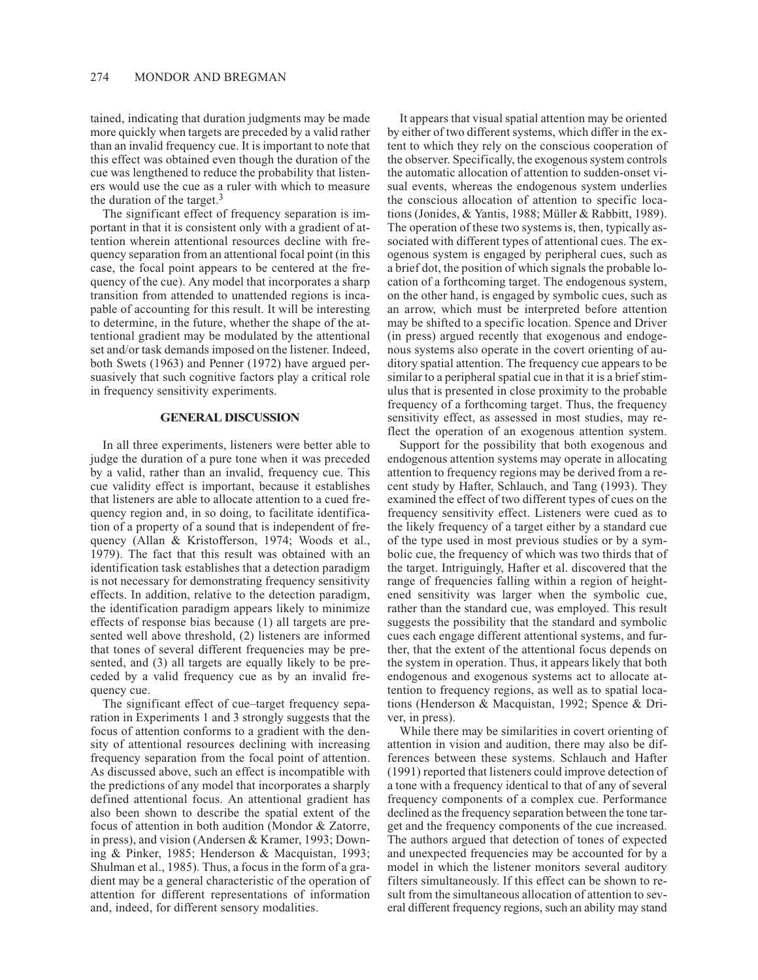tained, indicating that duration judgments may be made more quickly when targets are preceded by a valid rather than an invalid frequency cue. It is important to note that this effect was obtained even though the duration of the cue was lengthened to reduce the probability that listeners would use the cue as a ruler with which to measure the duration of the target.<sup>3</sup>

The significant effect of frequency separation is important in that it is consistent only with a gradient of attention wherein attentional resources decline with frequency separation from an attentional focal point (in this case, the focal point appears to be centered at the frequency of the cue). Any model that incorporates a sharp transition from attended to unattended regions is incapable of accounting for this result. It will be interesting to determine, in the future, whether the shape of the attentional gradient may be modulated by the attentional set and/or task demands imposed on the listener. Indeed, both Swets (1963) and Penner (1972) have argued persuasively that such cognitive factors play a critical role in frequency sensitivity experiments.

# **GENERAL DISCUSSION**

In all three experiments, listeners were better able to judge the duration of a pure tone when it was preceded by a valid, rather than an invalid, frequency cue. This cue validity effect is important, because it establishes that listeners are able to allocate attention to a cued frequency region and, in so doing, to facilitate identification of a property of a sound that is independent of frequency (Allan & Kristofferson, 1974; Woods et al., 1979). The fact that this result was obtained with an identification task establishes that a detection paradigm is not necessary for demonstrating frequency sensitivity effects. In addition, relative to the detection paradigm, the identification paradigm appears likely to minimize effects of response bias because (1) all targets are presented well above threshold, (2) listeners are informed that tones of several different frequencies may be presented, and (3) all targets are equally likely to be preceded by a valid frequency cue as by an invalid frequency cue.

The significant effect of cue–target frequency separation in Experiments 1 and 3 strongly suggests that the focus of attention conforms to a gradient with the density of attentional resources declining with increasing frequency separation from the focal point of attention. As discussed above, such an effect is incompatible with the predictions of any model that incorporates a sharply defined attentional focus. An attentional gradient has also been shown to describe the spatial extent of the focus of attention in both audition (Mondor & Zatorre, in press), and vision (Andersen & Kramer, 1993; Downing & Pinker, 1985; Henderson & Macquistan, 1993; Shulman et al., 1985). Thus, a focus in the form of a gradient may be a general characteristic of the operation of attention for different representations of information and, indeed, for different sensory modalities.

It appears that visual spatial attention may be oriented by either of two different systems, which differ in the extent to which they rely on the conscious cooperation of the observer. Specifically, the exogenous system controls the automatic allocation of attention to sudden-onset visual events, whereas the endogenous system underlies the conscious allocation of attention to specific locations (Jonides, & Yantis, 1988; Müller & Rabbitt, 1989). The operation of these two systems is, then, typically associated with different types of attentional cues. The exogenous system is engaged by peripheral cues, such as a brief dot, the position of which signals the probable location of a forthcoming target. The endogenous system, on the other hand, is engaged by symbolic cues, such as an arrow, which must be interpreted before attention may be shifted to a specific location. Spence and Driver (in press) argued recently that exogenous and endogenous systems also operate in the covert orienting of auditory spatial attention. The frequency cue appears to be similar to a peripheral spatial cue in that it is a brief stimulus that is presented in close proximity to the probable frequency of a forthcoming target. Thus, the frequency sensitivity effect, as assessed in most studies, may reflect the operation of an exogenous attention system.

Support for the possibility that both exogenous and endogenous attention systems may operate in allocating attention to frequency regions may be derived from a recent study by Hafter, Schlauch, and Tang (1993). They examined the effect of two different types of cues on the frequency sensitivity effect. Listeners were cued as to the likely frequency of a target either by a standard cue of the type used in most previous studies or by a symbolic cue, the frequency of which was two thirds that of the target. Intriguingly, Hafter et al. discovered that the range of frequencies falling within a region of heightened sensitivity was larger when the symbolic cue, rather than the standard cue, was employed. This result suggests the possibility that the standard and symbolic cues each engage different attentional systems, and further, that the extent of the attentional focus depends on the system in operation. Thus, it appears likely that both endogenous and exogenous systems act to allocate attention to frequency regions, as well as to spatial locations (Henderson & Macquistan, 1992; Spence & Driver, in press).

While there may be similarities in covert orienting of attention in vision and audition, there may also be differences between these systems. Schlauch and Hafter (1991) reported that listeners could improve detection of a tone with a frequency identical to that of any of several frequency components of a complex cue. Performance declined as the frequency separation between the tone target and the frequency components of the cue increased. The authors argued that detection of tones of expected and unexpected frequencies may be accounted for by a model in which the listener monitors several auditory filters simultaneously. If this effect can be shown to result from the simultaneous allocation of attention to several different frequency regions, such an ability may stand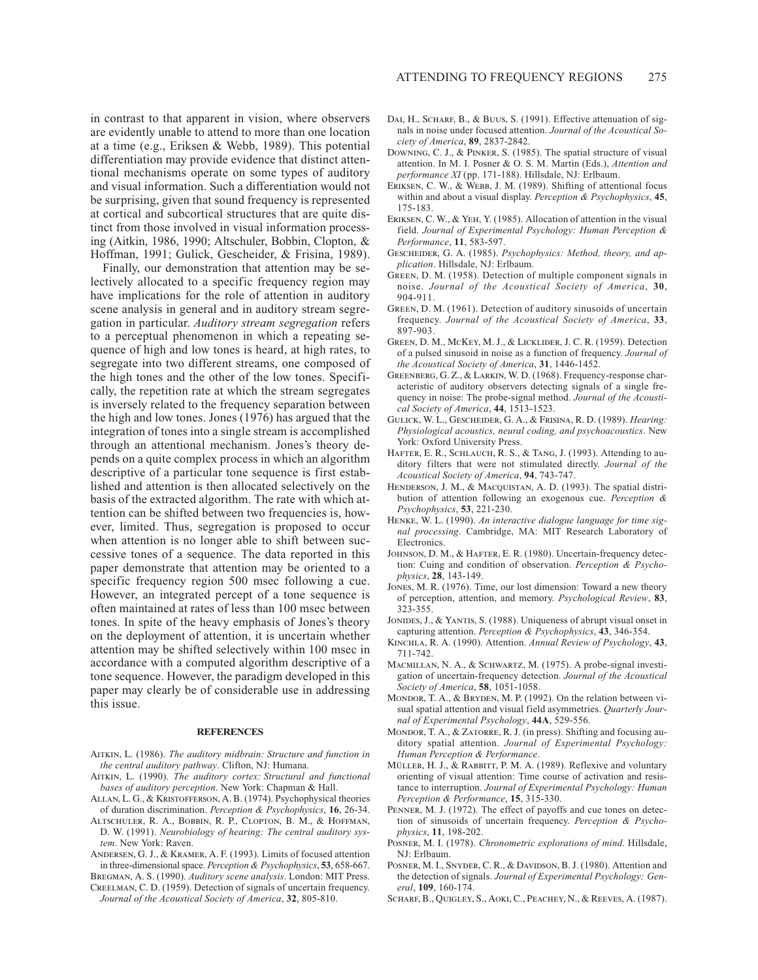in contrast to that apparent in vision, where observers are evidently unable to attend to more than one location at a time (e.g., Eriksen & Webb, 1989). This potential differentiation may provide evidence that distinct attentional mechanisms operate on some types of auditory and visual information. Such a differentiation would not be surprising, given that sound frequency is represented at cortical and subcortical structures that are quite distinct from those involved in visual information processing (Aitkin, 1986, 1990; Altschuler, Bobbin, Clopton, & Hoffman, 1991; Gulick, Gescheider, & Frisina, 1989).

Finally, our demonstration that attention may be selectively allocated to a specific frequency region may have implications for the role of attention in auditory scene analysis in general and in auditory stream segregation in particular. *Auditory stream segregation* refers to a perceptual phenomenon in which a repeating sequence of high and low tones is heard, at high rates, to segregate into two different streams, one composed of the high tones and the other of the low tones. Specifically, the repetition rate at which the stream segregates is inversely related to the frequency separation between the high and low tones. Jones (1976) has argued that the integration of tones into a single stream is accomplished through an attentional mechanism. Jones's theory depends on a quite complex process in which an algorithm descriptive of a particular tone sequence is first established and attention is then allocated selectively on the basis of the extracted algorithm. The rate with which attention can be shifted between two frequencies is, however, limited. Thus, segregation is proposed to occur when attention is no longer able to shift between successive tones of a sequence. The data reported in this paper demonstrate that attention may be oriented to a specific frequency region 500 msec following a cue. However, an integrated percept of a tone sequence is often maintained at rates of less than 100 msec between tones. In spite of the heavy emphasis of Jones's theory on the deployment of attention, it is uncertain whether attention may be shifted selectively within 100 msec in accordance with a computed algorithm descriptive of a tone sequence. However, the paradigm developed in this paper may clearly be of considerable use in addressing this issue.

#### **REFERENCES**

- Aitkin, L. (1986). *The auditory midbrain: Structure and function in the central auditory pathway*. Clifton, NJ: Humana.
- Aitkin, L. (1990). *The auditory cortex: Structural and functional bases of auditory perception*. New York: Chapman & Hall.
- Allan, L. G., & Kristofferson, A. B. (1974). Psychophysical theories of duration discrimination. *Perception & Psychophysics*, **16**, 26-34.
- Altschuler, R. A., Bobbin, R. P., Clopton, B. M., & Hoffman, D. W. (1991). *Neurobiology of hearing: The central auditory system*. New York: Raven.
- Andersen, G. J., & Kramer, A. F. (1993). Limits of focused attention in three-dimensional space. *Perception & Psychophysics*, **53**, 658-667.
- Bregman, A. S. (1990). *Auditory scene analysis*. London: MIT Press. Creelman, C. D. (1959). Detection of signals of uncertain frequency. *Journal of the Acoustical Society of America*, **32**, 805-810.
- DAI, H., SCHARF, B., & BUUS, S. (1991). Effective attenuation of signals in noise under focused attention. *Journal of the Acoustical Society of America*, **89**, 2837-2842.
- Downing, C. J., & Pinker, S. (1985). The spatial structure of visual attention. In M. I. Posner & O. S. M. Martin (Eds.), *Attention and performance XI* (pp. 171-188). Hillsdale, NJ: Erlbaum.
- ERIKSEN, C. W., & WEBB, J. M. (1989). Shifting of attentional focus within and about a visual display. *Perception & Psychophysics*, **45**, 175-183.
- Eriksen, C. W., & Yeh, Y. (1985). Allocation of attention in the visual field. *Journal of Experimental Psychology: Human Perception & Performance*, **11**, 583-597.
- GESCHEIDER, G. A. (1985). *Psychophysics: Method, theory, and application*. Hillsdale, NJ: Erlbaum.
- Green, D. M. (1958). Detection of multiple component signals in noise. *Journal of the Acoustical Society of America*, **30**, 904-911.
- Green, D. M. (1961). Detection of auditory sinusoids of uncertain frequency. *Journal of the Acoustical Society of America*, **33**, 897-903.
- Green, D. M., McKey, M. J., & Licklider, J. C. R. (1959). Detection of a pulsed sinusoid in noise as a function of frequency. *Journal of the Acoustical Society of America*, **31**, 1446-1452.
- Greenberg, G. Z., & Larkin, W. D. (1968). Frequency-response characteristic of auditory observers detecting signals of a single frequency in noise: The probe-signal method. *Journal of the Acoustical Society of America*, **44**, 1513-1523.
- Gulick, W. L., Gescheider, G. A., & Frisina, R. D. (1989). *Hearing: Physiological acoustics, neural coding, and psychoacoustics*. New York: Oxford University Press.
- HAFTER, E. R., SCHLAUCH, R. S., & TANG, J. (1993). Attending to auditory filters that were not stimulated directly. *Journal of the Acoustical Society of America*, **94**, 743-747.
- Henderson, J. M., & Macquistan, A. D. (1993). The spatial distribution of attention following an exogenous cue. *Perception & Psychophysics*, **53**, 221-230.
- Henke, W. L. (1990). *An interactive dialogue language for time signal processing*. Cambridge, MA: MIT Research Laboratory of Electronics.
- Johnson, D. M., & Hafter, E. R. (1980). Uncertain-frequency detection: Cuing and condition of observation. *Perception & Psychophysics*, **28**, 143-149.
- Jones, M. R. (1976). Time, our lost dimension: Toward a new theory of perception, attention, and memory. *Psychological Review*, **83**, 323-355.
- JONIDES, J., & YANTIS, S. (1988). Uniqueness of abrupt visual onset in capturing attention. *Perception & Psychophysics*, **43**, 346-354.
- Kinchla, R. A. (1990). Attention. *Annual Review of Psychology*, **43**, 711-742.
- Macmillan, N. A., & Schwartz, M. (1975). A probe-signal investigation of uncertain-frequency detection. *Journal of the Acoustical Society of America*, **58**, 1051-1058.
- MONDOR, T. A., & BRYDEN, M. P. (1992). On the relation between visual spatial attention and visual field asymmetries. *Quarterly Journal of Experimental Psychology*, **44A**, 529-556.
- MONDOR, T. A., & ZATORRE, R. J. (in press). Shifting and focusing auditory spatial attention. *Journal of Experimental Psychology: Human Perception & Performance*.
- Müller, H. J., & Rabbitt, P. M. A. (1989). Reflexive and voluntary orienting of visual attention: Time course of activation and resistance to interruption. *Journal of Experimental Psychology: Human Perception & Performance*, **15**, 315-330.
- PENNER, M. J. (1972). The effect of payoffs and cue tones on detection of sinusoids of uncertain frequency. *Perception & Psychophysics*, **11**, 198-202.
- Posner, M. I. (1978). *Chronometric explorations of mind*. Hillsdale, NJ: Erlbaum.
- POSNER, M. I., SNYDER, C. R., & DAVIDSON, B. J. (1980). Attention and the detection of signals. *Journal of Experimental Psychology: General*, **109**, 160-174.
- Scharf, B., Quigley, S., Aoki, C., Peachey, N., & Reeves, A. (1987).